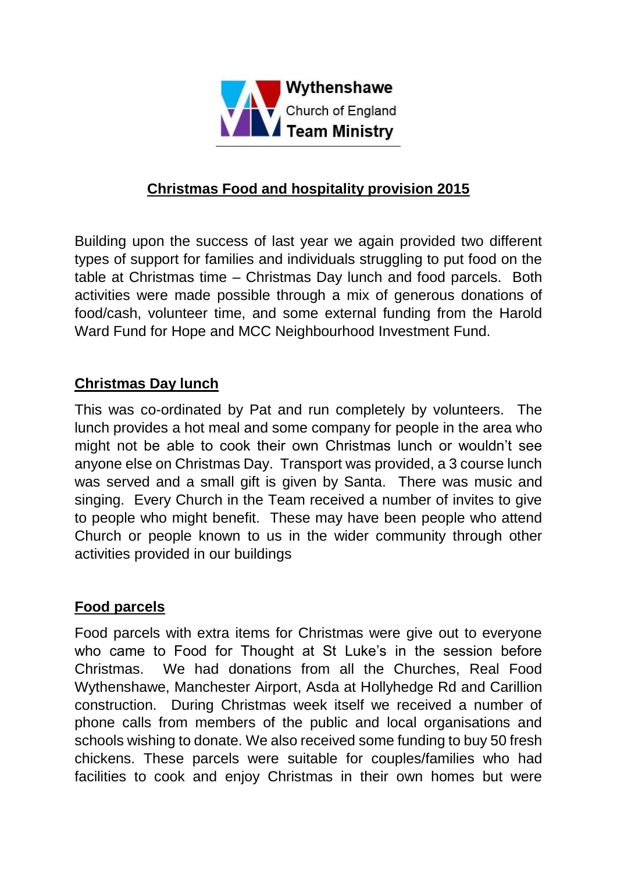

## **Christmas Food and hospitality provision 2015**

Building upon the success of last year we again provided two different types of support for families and individuals struggling to put food on the table at Christmas time – Christmas Day lunch and food parcels. Both activities were made possible through a mix of generous donations of food/cash, volunteer time, and some external funding from the Harold Ward Fund for Hope and MCC Neighbourhood Investment Fund.

## **Christmas Day lunch**

This was co-ordinated by Pat and run completely by volunteers. The lunch provides a hot meal and some company for people in the area who might not be able to cook their own Christmas lunch or wouldn't see anyone else on Christmas Day. Transport was provided, a 3 course lunch was served and a small gift is given by Santa. There was music and singing. Every Church in the Team received a number of invites to give to people who might benefit. These may have been people who attend Church or people known to us in the wider community through other activities provided in our buildings

## **Food parcels**

Food parcels with extra items for Christmas were give out to everyone who came to Food for Thought at St Luke's in the session before Christmas. We had donations from all the Churches, Real Food Wythenshawe, Manchester Airport, Asda at Hollyhedge Rd and Carillion construction. During Christmas week itself we received a number of phone calls from members of the public and local organisations and schools wishing to donate. We also received some funding to buy 50 fresh chickens. These parcels were suitable for couples/families who had facilities to cook and enjoy Christmas in their own homes but were